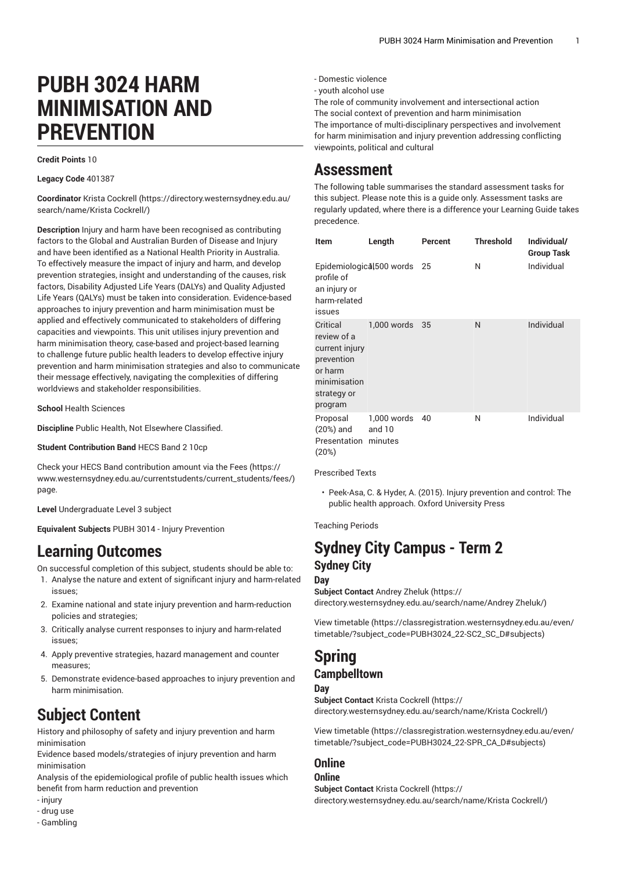# **PUBH 3024 HARM MINIMISATION AND PREVENTION**

**Credit Points** 10

**Legacy Code** 401387

**Coordinator** Krista [Cockrell \(https://directory.westernsydney.edu.au/](https://directory.westernsydney.edu.au/search/name/Krista Cockrell/) [search/name/Krista](https://directory.westernsydney.edu.au/search/name/Krista Cockrell/) Cockrell/)

**Description** Injury and harm have been recognised as contributing factors to the Global and Australian Burden of Disease and Injury and have been identified as a National Health Priority in Australia. To effectively measure the impact of injury and harm, and develop prevention strategies, insight and understanding of the causes, risk factors, Disability Adjusted Life Years (DALYs) and Quality Adjusted Life Years (QALYs) must be taken into consideration. Evidence-based approaches to injury prevention and harm minimisation must be applied and effectively communicated to stakeholders of differing capacities and viewpoints. This unit utilises injury prevention and harm minimisation theory, case-based and project-based learning to challenge future public health leaders to develop effective injury prevention and harm minimisation strategies and also to communicate their message effectively, navigating the complexities of differing worldviews and stakeholder responsibilities.

**School** Health Sciences

**Discipline** Public Health, Not Elsewhere Classified.

**Student Contribution Band** HECS Band 2 10cp

Check your HECS Band contribution amount via the [Fees \(https://](https://www.westernsydney.edu.au/currentstudents/current_students/fees/) [www.westernsydney.edu.au/currentstudents/current\\_students/fees/\)](https://www.westernsydney.edu.au/currentstudents/current_students/fees/) page.

**Level** Undergraduate Level 3 subject

**Equivalent Subjects** [PUBH 3014](/search/?P=PUBH%203014) - Injury Prevention

# **Learning Outcomes**

On successful completion of this subject, students should be able to:

- 1. Analyse the nature and extent of significant injury and harm-related issues;
- 2. Examine national and state injury prevention and harm-reduction policies and strategies;
- 3. Critically analyse current responses to injury and harm-related issues;
- 4. Apply preventive strategies, hazard management and counter measures;
- 5. Demonstrate evidence-based approaches to injury prevention and harm minimisation.

# **Subject Content**

History and philosophy of safety and injury prevention and harm minimisation

Evidence based models/strategies of injury prevention and harm minimisation

Analysis of the epidemiological profile of public health issues which benefit from harm reduction and prevention

- injury
- drug use
- Gambling
- Domestic violence
- youth alcohol use

The role of community involvement and intersectional action The social context of prevention and harm minimisation The importance of multi-disciplinary perspectives and involvement for harm minimisation and injury prevention addressing conflicting viewpoints, political and cultural

### **Assessment**

The following table summarises the standard assessment tasks for this subject. Please note this is a guide only. Assessment tasks are regularly updated, where there is a difference your Learning Guide takes precedence.

| Item                                                                                                         | Length                           | Percent | <b>Threshold</b> | Individual/<br><b>Group Task</b> |
|--------------------------------------------------------------------------------------------------------------|----------------------------------|---------|------------------|----------------------------------|
| Epidemiological, 500 words<br>profile of<br>an injury or<br>harm-related<br>issues                           |                                  | 25      | Ν                | Individual                       |
| Critical<br>review of a<br>current injury<br>prevention<br>or harm<br>minimisation<br>strategy or<br>program | 1,000 words                      | 35      | N                | Individual                       |
| Proposal<br>$(20%)$ and<br>Presentation<br>(20%)                                                             | 1,000 words<br>and 10<br>minutes | 40      | N                | Individual                       |

Prescribed Texts

• Peek-Asa, C. & Hyder, A. (2015). Injury prevention and control: The public health approach. Oxford University Press

Teaching Periods

### **Sydney City Campus - Term 2 Sydney City**

#### **Day**

**Subject Contact** [Andrey](https://directory.westernsydney.edu.au/search/name/Andrey Zheluk/) Zheluk ([https://](https://directory.westernsydney.edu.au/search/name/Andrey Zheluk/) [directory.westernsydney.edu.au/search/name/Andrey](https://directory.westernsydney.edu.au/search/name/Andrey Zheluk/) Zheluk/)

[View timetable](https://classregistration.westernsydney.edu.au/even/timetable/?subject_code=PUBH3024_22-SC2_SC_D#subjects) [\(https://classregistration.westernsydney.edu.au/even/](https://classregistration.westernsydney.edu.au/even/timetable/?subject_code=PUBH3024_22-SC2_SC_D#subjects) [timetable/?subject\\_code=PUBH3024\\_22-SC2\\_SC\\_D#subjects](https://classregistration.westernsydney.edu.au/even/timetable/?subject_code=PUBH3024_22-SC2_SC_D#subjects))

# **Spring**

#### **Campbelltown**

#### **Day**

**Subject Contact** Krista [Cockrell \(https://](https://directory.westernsydney.edu.au/search/name/Krista Cockrell/) [directory.westernsydney.edu.au/search/name/Krista](https://directory.westernsydney.edu.au/search/name/Krista Cockrell/) Cockrell/)

[View timetable](https://classregistration.westernsydney.edu.au/even/timetable/?subject_code=PUBH3024_22-SPR_CA_D#subjects) [\(https://classregistration.westernsydney.edu.au/even/](https://classregistration.westernsydney.edu.au/even/timetable/?subject_code=PUBH3024_22-SPR_CA_D#subjects) [timetable/?subject\\_code=PUBH3024\\_22-SPR\\_CA\\_D#subjects](https://classregistration.westernsydney.edu.au/even/timetable/?subject_code=PUBH3024_22-SPR_CA_D#subjects))

### **Online**

**Online Subject Contact** Krista [Cockrell \(https://](https://directory.westernsydney.edu.au/search/name/Krista Cockrell/) [directory.westernsydney.edu.au/search/name/Krista](https://directory.westernsydney.edu.au/search/name/Krista Cockrell/) Cockrell/)